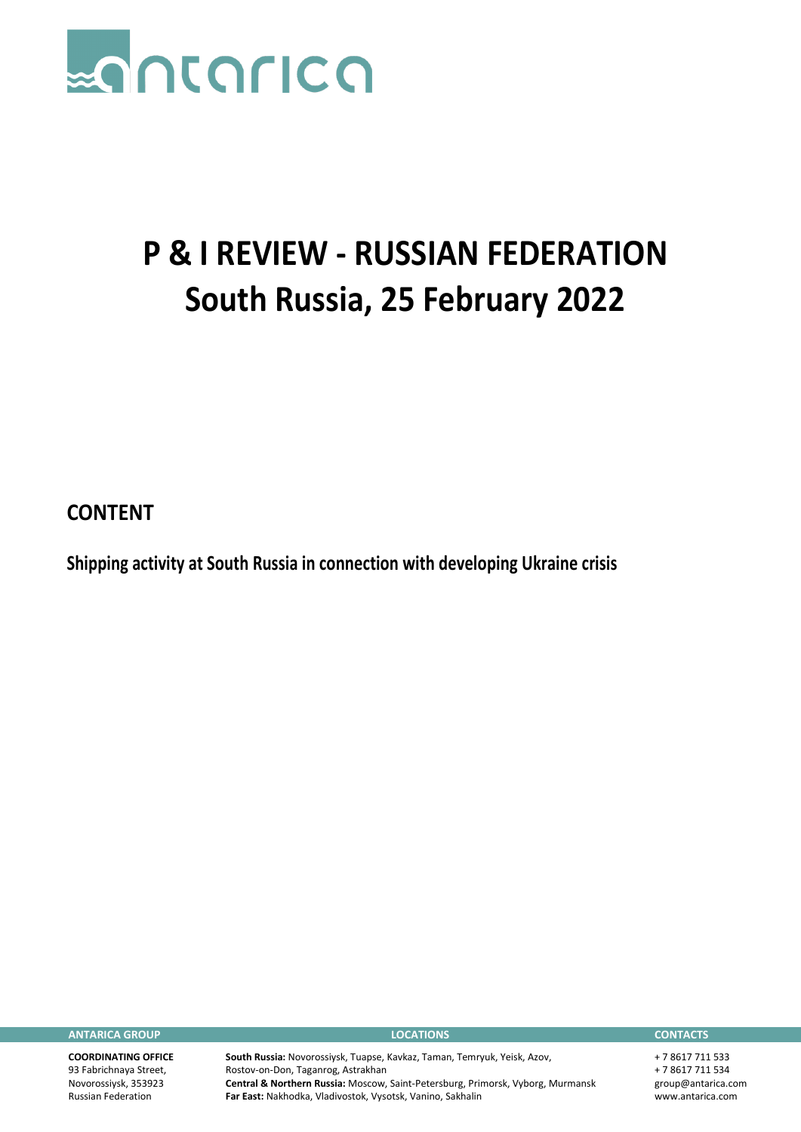

## **P & I REVIEW - RUSSIAN FEDERATION South Russia, 25 February 2022**

**CONTENT**

**Shipping activity at South Russia in connection with developing Ukraine crisis**

**ANTARICA GROUP LOCATIONS CONTACTS**

**COORDINATING OFFICE** 93 Fabrichnaya Street, Novorossiysk, 353923 Russian Federation

**South Russia:** Novorossiysk, Tuapse, Kavkaz, Taman, Temryuk, Yeisk, Azov, Rostov-on-Don, Taganrog, Astrakhan **Central & Northern Russia:** Moscow, Saint-Petersburg, Primorsk, Vyborg, Murmansk **Far East:** Nakhodka, Vladivostok, Vysotsk, Vanino, Sakhalin

+ 7 8617 711 533 + 7 8617 711 534 group@antarica.com www.antarica.com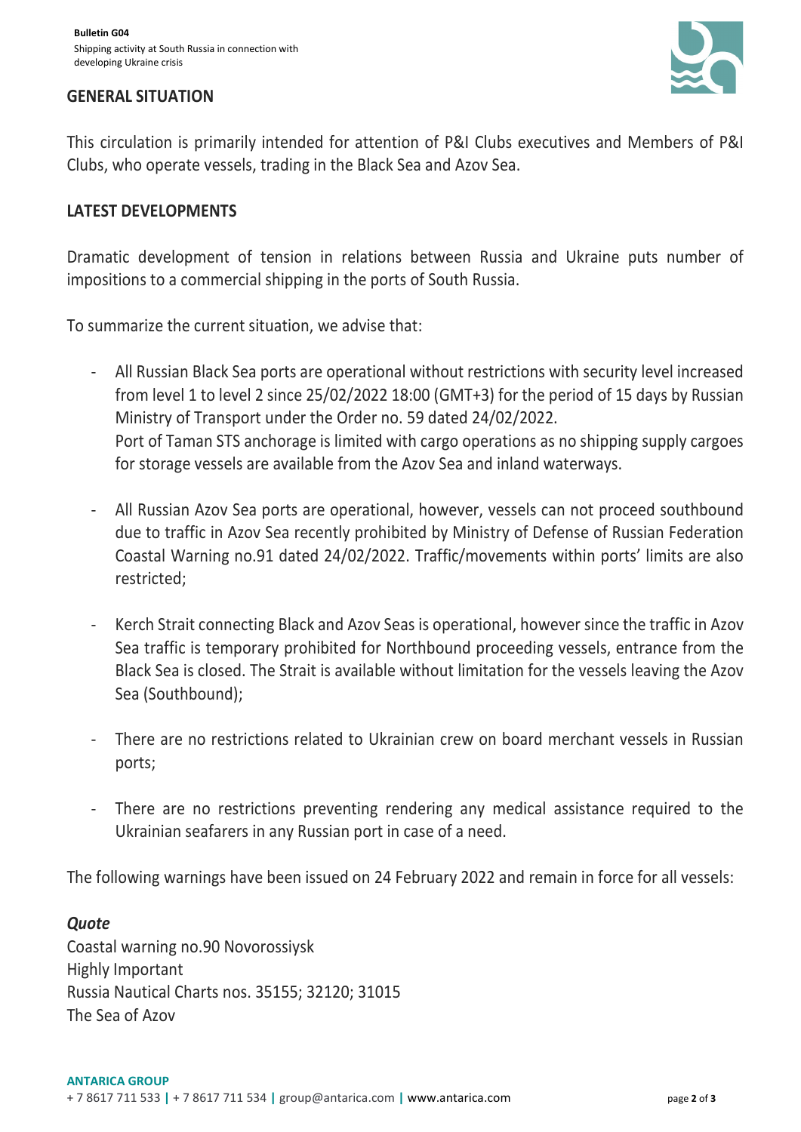

## **GENERAL SITUATION**

This circulation is primarily intended for attention of P&I Clubs executives and Members of P&I Clubs, who operate vessels, trading in the Black Sea and Azov Sea.

## **LATEST DEVELOPMENTS**

Dramatic development of tension in relations between Russia and Ukraine puts number of impositions to a commercial shipping in the ports of South Russia.

To summarize the current situation, we advise that:

- All Russian Black Sea ports are operational without restrictions with security level increased from level 1 to level 2 since 25/02/2022 18:00 (GMT+3) for the period of 15 days by Russian Ministry of Transport under the Order no. 59 dated 24/02/2022. Port of Taman STS anchorage is limited with cargo operations as no shipping supply cargoes for storage vessels are available from the Azov Sea and inland waterways.
- All Russian Azov Sea ports are operational, however, vessels can not proceed southbound due to traffic in Azov Sea recently prohibited by Ministry of Defense of Russian Federation Coastal Warning no.91 dated 24/02/2022. Traffic/movements within ports' limits are also restricted;
- Kerch Strait connecting Black and Azov Seas is operational, however since the traffic in Azov Sea traffic is temporary prohibited for Northbound proceeding vessels, entrance from the Black Sea is closed. The Strait is available without limitation for the vessels leaving the Azov Sea (Southbound);
- There are no restrictions related to Ukrainian crew on board merchant vessels in Russian ports;
- There are no restrictions preventing rendering any medical assistance required to the Ukrainian seafarers in any Russian port in case of a need.

The following warnings have been issued on 24 February 2022 and remain in force for all vessels:

## *Quote*

Coastal warning no.90 Novorossiysk Highly Important Russia Nautical Charts nos. 35155; 32120; 31015 The Sea of Azov